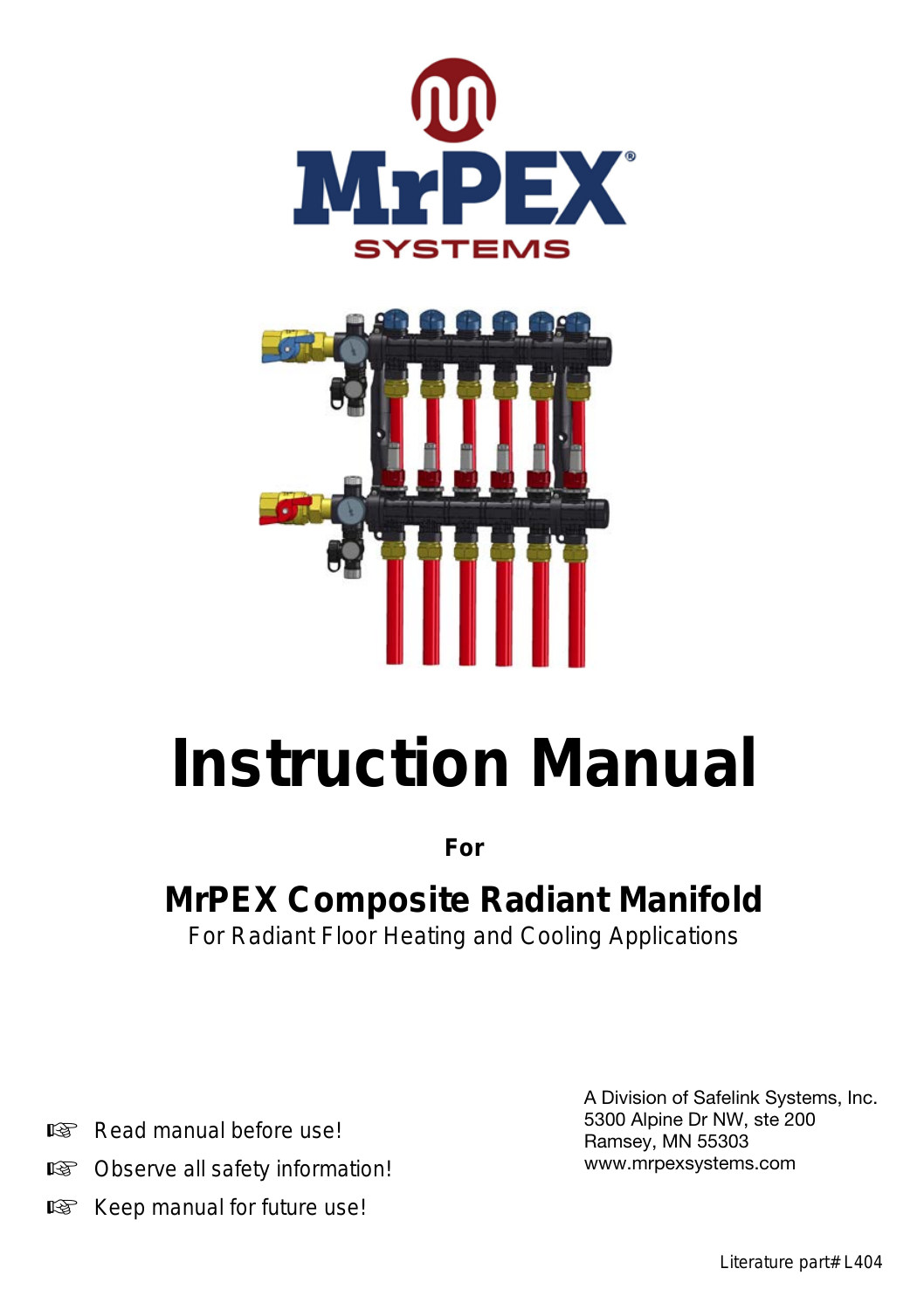



# **Instruction Manual**

**For**

# **MrPEX Composite Radiant Manifold**

For Radiant Floor Heating and Cooling Applications

- Read manual before use!
- **IS Observe all safety information!**
- Keep manual for future use!

A Division of Safelink Systems, Inc. 5300 Alpine Dr NW, ste 200 Ramsey, MN 55303 www.mrpexsystems.com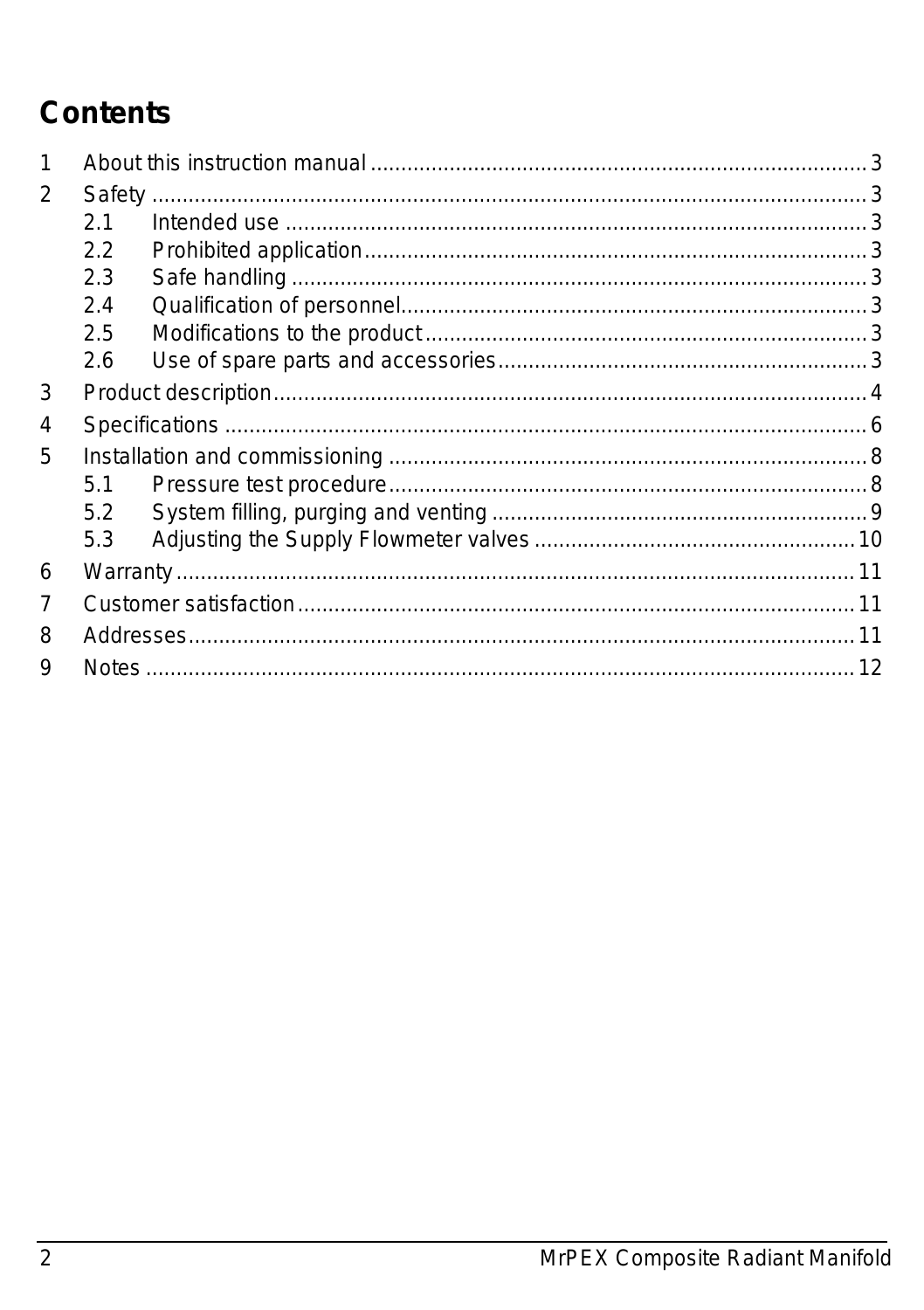# **Contents**

| 1              |     |  |  |  |  |
|----------------|-----|--|--|--|--|
| $\overline{2}$ |     |  |  |  |  |
|                | 2.1 |  |  |  |  |
|                | 2.2 |  |  |  |  |
|                | 2.3 |  |  |  |  |
|                | 2.4 |  |  |  |  |
|                | 2.5 |  |  |  |  |
|                | 2.6 |  |  |  |  |
| 3              |     |  |  |  |  |
| 4              |     |  |  |  |  |
| 5              |     |  |  |  |  |
|                | 5.1 |  |  |  |  |
|                | 5.2 |  |  |  |  |
|                | 5.3 |  |  |  |  |
| 6              |     |  |  |  |  |
| 7              |     |  |  |  |  |
| 8              |     |  |  |  |  |
| 9              |     |  |  |  |  |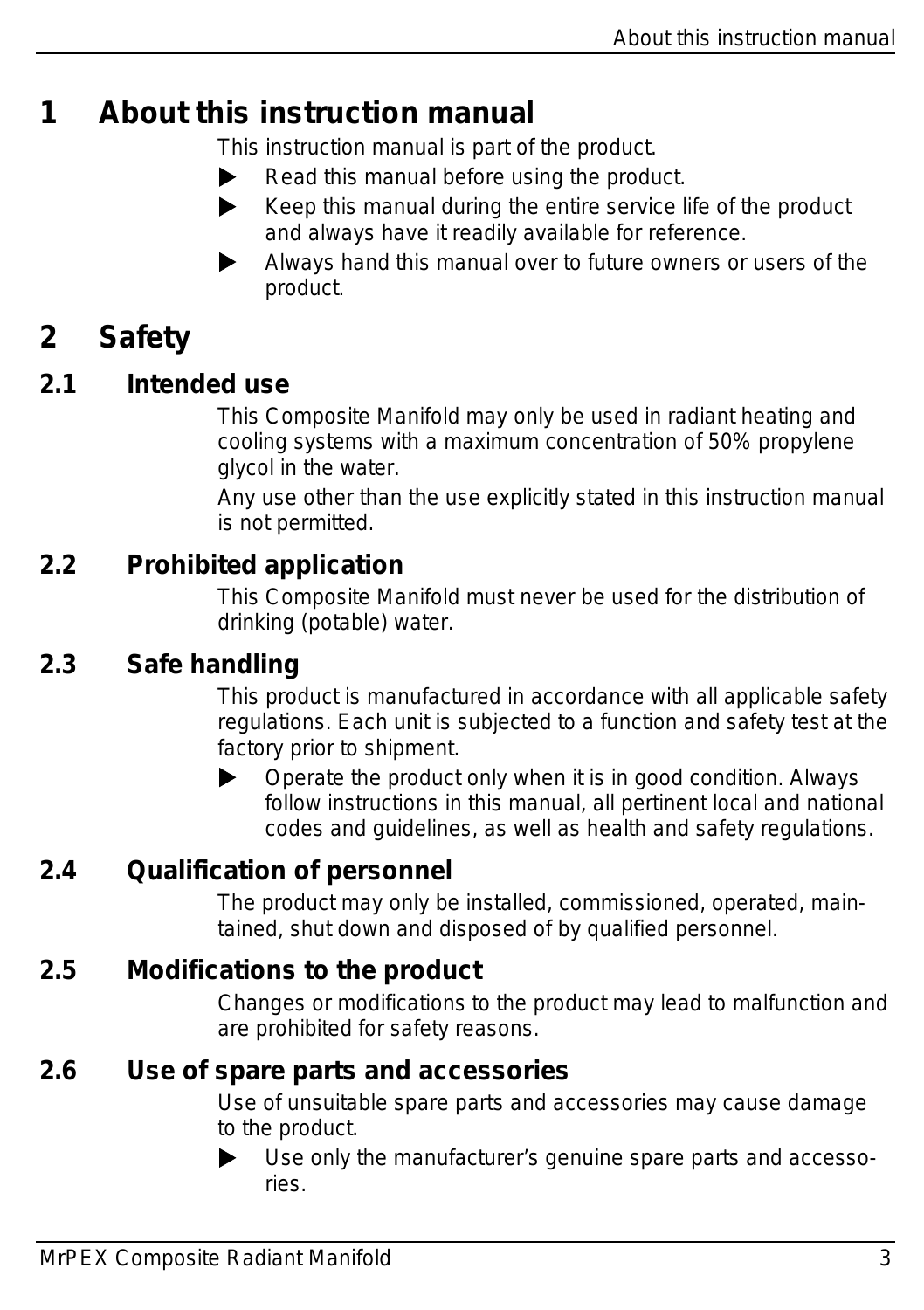## <span id="page-2-0"></span>**1 About this instruction manual**

This instruction manual is part of the product.

- $\blacktriangleright$  Read this manual before using the product.
- $\blacktriangleright$  Keep this manual during the entire service life of the product and always have it readily available for reference.
- Always hand this manual over to future owners or users of the product.

## <span id="page-2-1"></span>**2 Safety**

#### <span id="page-2-2"></span>**2.1 Intended use**

This Composite Manifold may only be used in radiant heating and cooling systems with a maximum concentration of 50% propylene glycol in the water.

Any use other than the use explicitly stated in this instruction manual is not permitted.

#### <span id="page-2-3"></span>**2.2 Prohibited application**

This Composite Manifold must never be used for the distribution of drinking (potable) water.

#### <span id="page-2-4"></span>**2.3 Safe handling**

This product is manufactured in accordance with all applicable safety regulations. Each unit is subjected to a function and safety test at the factory prior to shipment.

 $\triangleright$  Operate the product only when it is in good condition. Always follow instructions in this manual, all pertinent local and national codes and guidelines, as well as health and safety regulations.

#### <span id="page-2-5"></span>**2.4 Qualification of personnel**

The product may only be installed, commissioned, operated, maintained, shut down and disposed of by qualified personnel.

#### <span id="page-2-6"></span>**2.5 Modifications to the product**

Changes or modifications to the product may lead to malfunction and are prohibited for safety reasons.

#### <span id="page-2-7"></span>**2.6 Use of spare parts and accessories**

Use of unsuitable spare parts and accessories may cause damage to the product.

 Use only the manufacturer's genuine spare parts and accessories.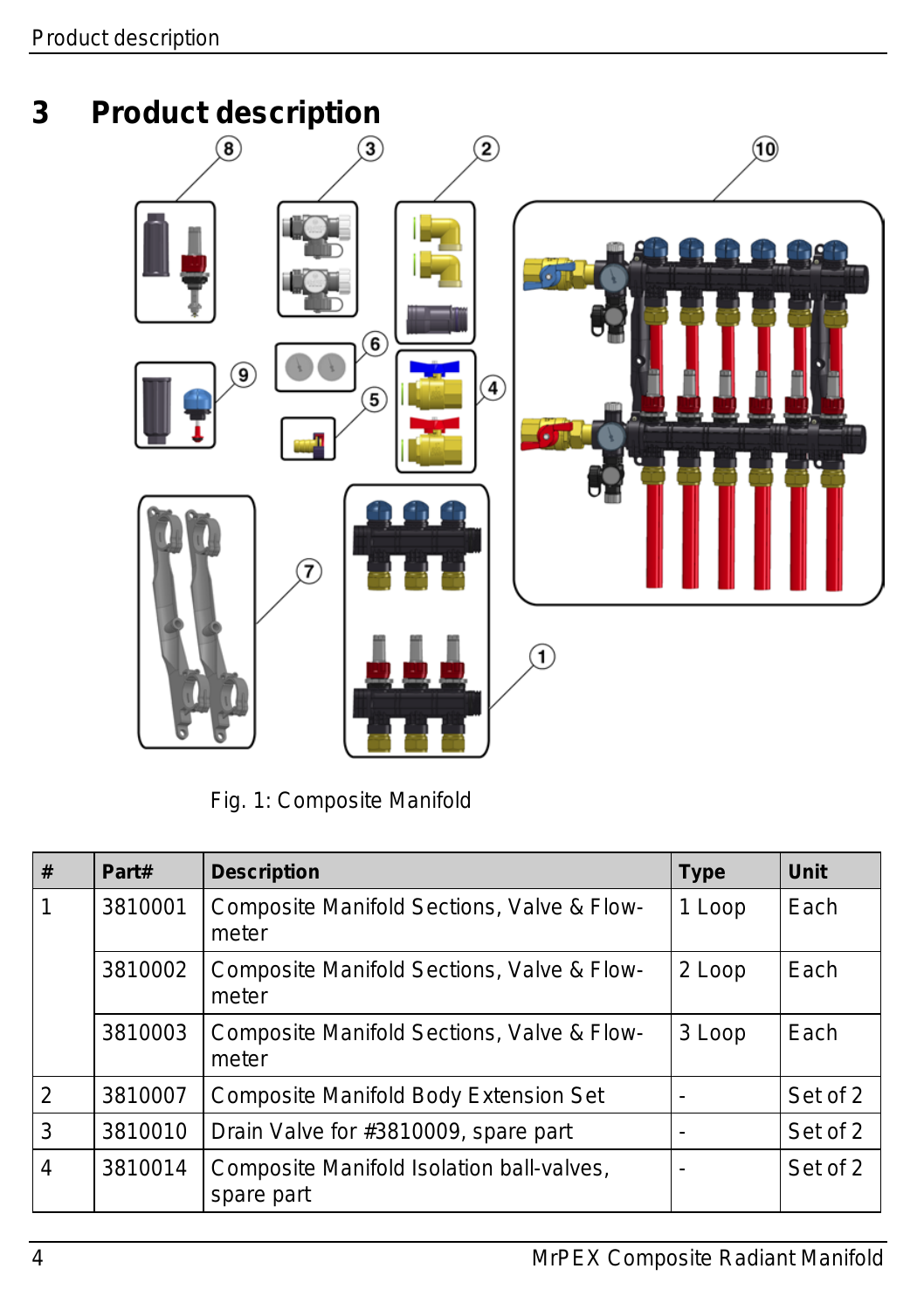<span id="page-3-0"></span>

*Fig. 1: Composite Manifold*

| # | Part#   | <b>Description</b>                                      | <b>Type</b> | Unit     |
|---|---------|---------------------------------------------------------|-------------|----------|
|   | 3810001 | Composite Manifold Sections, Valve & Flow-<br>meter     | 1 Loop      | Each     |
|   | 3810002 | Composite Manifold Sections, Valve & Flow-<br>meter     | 2 Loop      | Each     |
|   | 3810003 | Composite Manifold Sections, Valve & Flow-<br>meter     | 3 Loop      | Each     |
| 2 | 3810007 | Composite Manifold Body Extension Set                   |             | Set of 2 |
| 3 | 3810010 | Drain Valve for #3810009, spare part                    |             | Set of 2 |
| 4 | 3810014 | Composite Manifold Isolation ball-valves,<br>spare part |             | Set of 2 |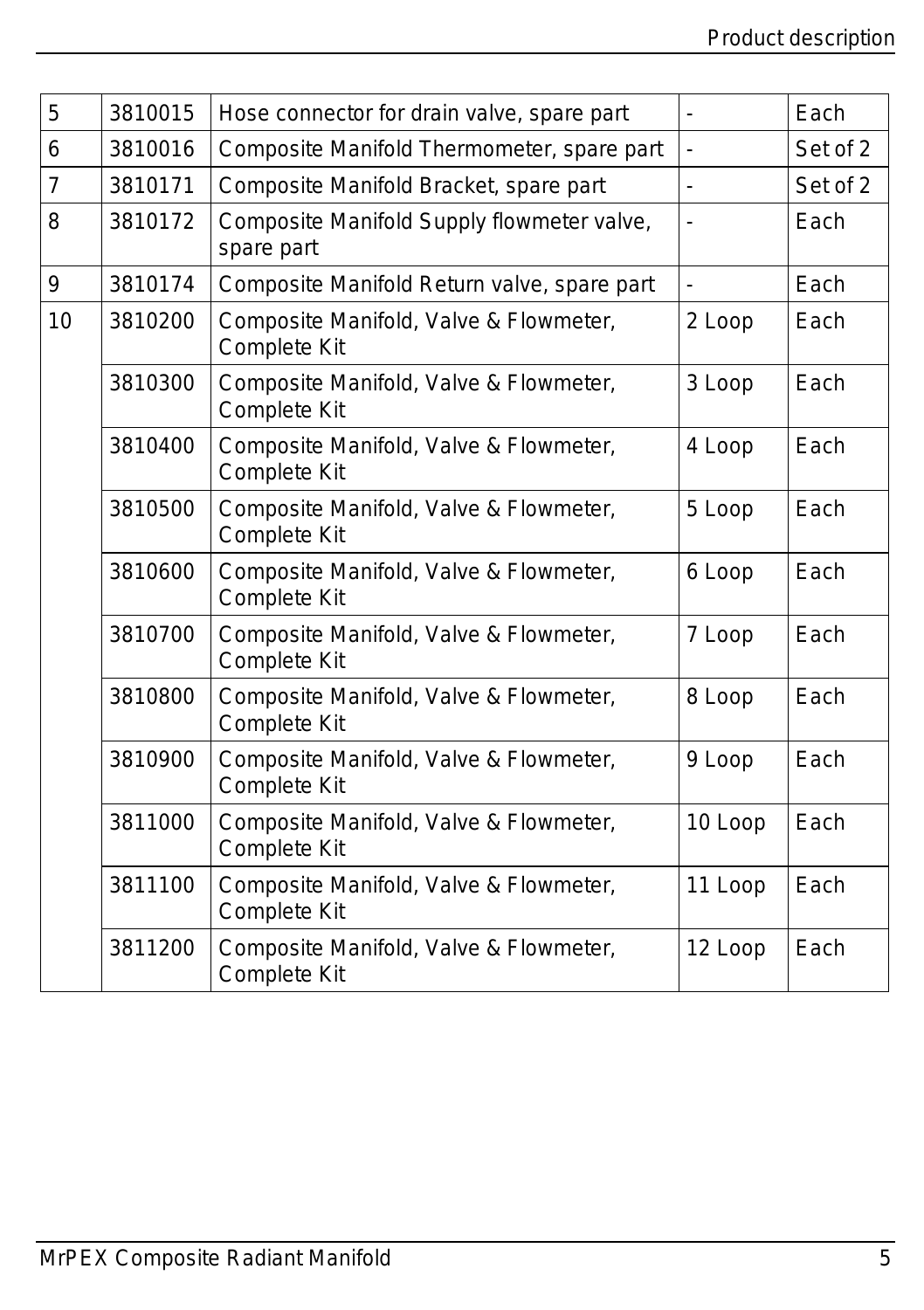| 5  | 3810015 | Hose connector for drain valve, spare part                    | ÷,      | Each     |
|----|---------|---------------------------------------------------------------|---------|----------|
| 6  | 3810016 | Composite Manifold Thermometer, spare part                    | ä,      | Set of 2 |
| 7  | 3810171 | Composite Manifold Bracket, spare part                        | L.      | Set of 2 |
| 8  | 3810172 | Composite Manifold Supply flowmeter valve,<br>spare part      |         | Each     |
| 9  | 3810174 | Composite Manifold Return valve, spare part                   | ÷,      | Each     |
| 10 | 3810200 | Composite Manifold, Valve & Flowmeter,<br><b>Complete Kit</b> | 2 Loop  | Each     |
|    | 3810300 | Composite Manifold, Valve & Flowmeter,<br><b>Complete Kit</b> | 3 Loop  | Each     |
|    | 3810400 | Composite Manifold, Valve & Flowmeter,<br><b>Complete Kit</b> | 4 Loop  | Each     |
|    | 3810500 | Composite Manifold, Valve & Flowmeter,<br><b>Complete Kit</b> | 5 Loop  | Each     |
|    | 3810600 | Composite Manifold, Valve & Flowmeter,<br><b>Complete Kit</b> | 6 Loop  | Each     |
|    | 3810700 | Composite Manifold, Valve & Flowmeter,<br><b>Complete Kit</b> | 7 Loop  | Each     |
|    | 3810800 | Composite Manifold, Valve & Flowmeter,<br><b>Complete Kit</b> | 8 Loop  | Each     |
|    | 3810900 | Composite Manifold, Valve & Flowmeter,<br>Complete Kit        | 9 Loop  | Each     |
|    | 3811000 | Composite Manifold, Valve & Flowmeter,<br><b>Complete Kit</b> | 10 Loop | Each     |
|    | 3811100 | Composite Manifold, Valve & Flowmeter,<br><b>Complete Kit</b> | 11 Loop | Each     |
|    | 3811200 | Composite Manifold, Valve & Flowmeter,<br><b>Complete Kit</b> | 12 Loop | Each     |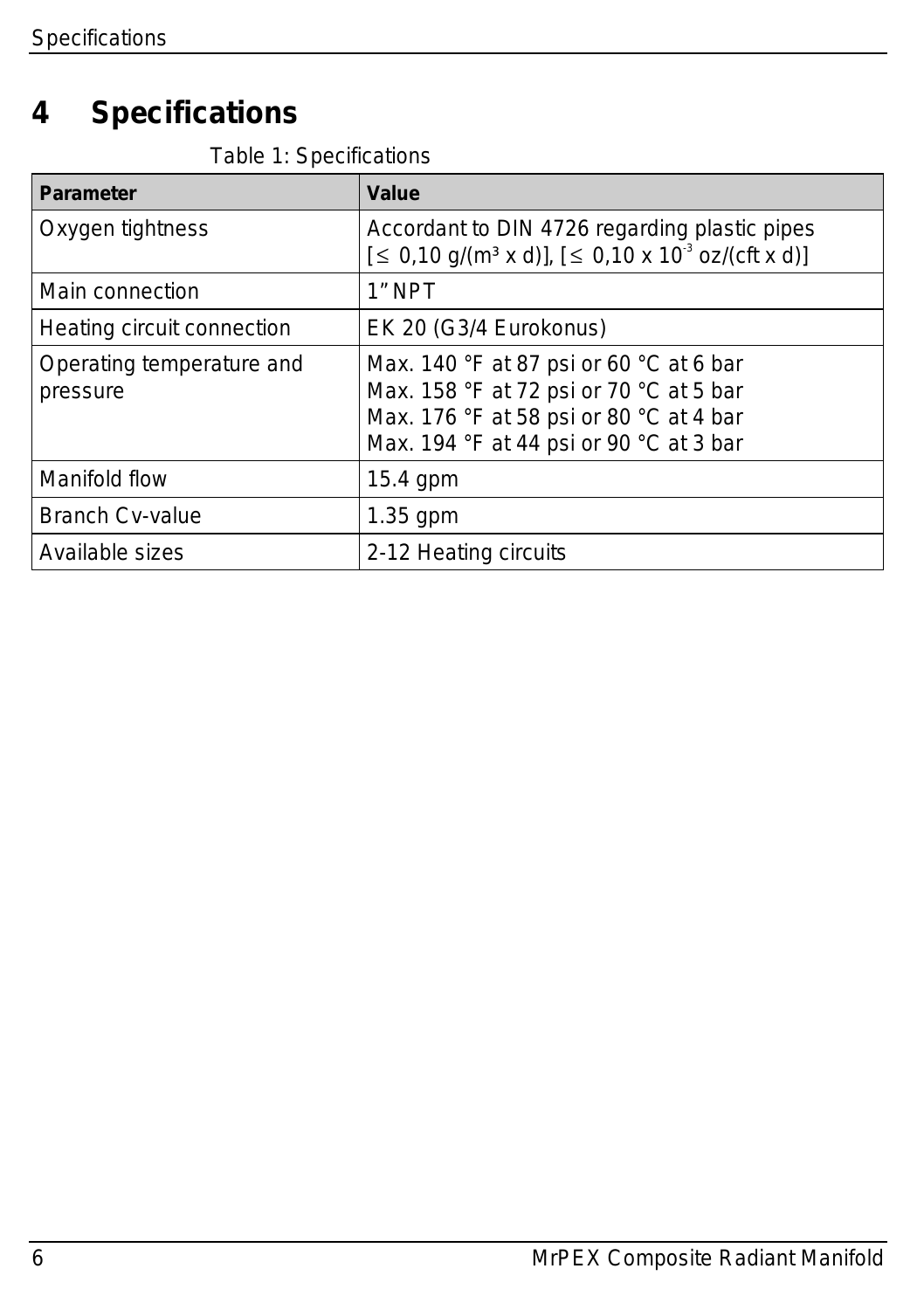# <span id="page-5-0"></span>**4 Specifications**

|  |  | Table 1: Specifications |
|--|--|-------------------------|
|--|--|-------------------------|

| <b>Parameter</b>                      | Value                                                                                                                                                                                      |
|---------------------------------------|--------------------------------------------------------------------------------------------------------------------------------------------------------------------------------------------|
| Oxygen tightness                      | Accordant to DIN 4726 regarding plastic pipes<br>$[5, 0.10 \text{ g/(m}^3 \times \text{d})], [5, 0.10 \times 10^3 \text{ oz/(cft x d)}]$                                                   |
| Main connection                       | 1" NPT                                                                                                                                                                                     |
| Heating circuit connection            | EK 20 (G3/4 Eurokonus)                                                                                                                                                                     |
| Operating temperature and<br>pressure | Max. 140 $\degree$ F at 87 psi or 60 $\degree$ C at 6 bar<br>Max. 158 °F at 72 psi or 70 °C at 5 bar<br>Max. 176 °F at 58 psi or 80 °C at 4 bar<br>Max. 194 °F at 44 psi or 90 °C at 3 bar |
| Manifold flow                         | $15.4$ gpm                                                                                                                                                                                 |
| <b>Branch Cv-value</b>                | $1.35$ gpm                                                                                                                                                                                 |
| Available sizes                       | 2-12 Heating circuits                                                                                                                                                                      |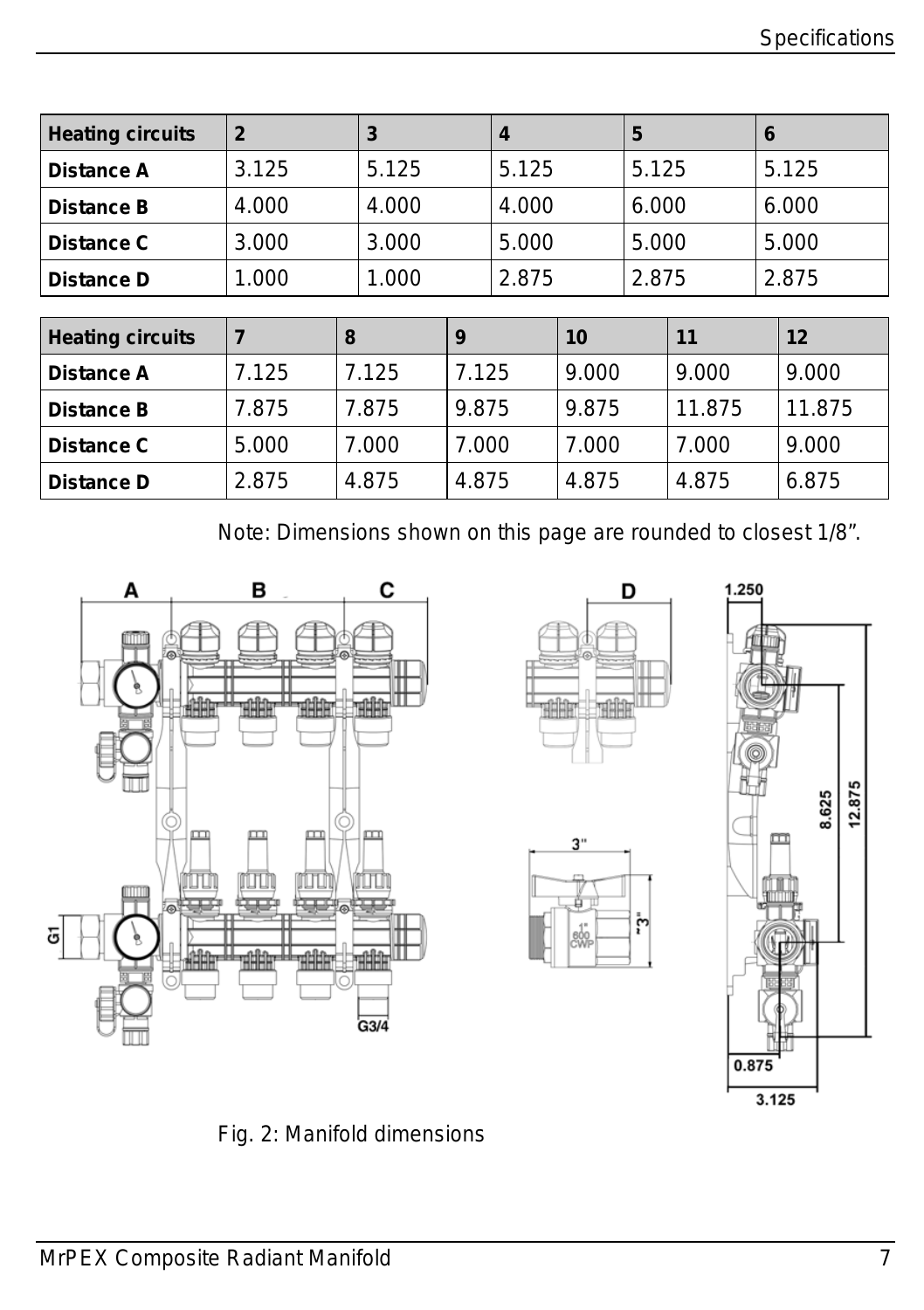| <b>Heating circuits</b> | $\mathbf{2}$            | 3     |       | 4     |       | 5     |        | 6     |        |
|-------------------------|-------------------------|-------|-------|-------|-------|-------|--------|-------|--------|
| Distance A              | 3.125                   | 5.125 |       | 5.125 |       | 5.125 |        |       | 5.125  |
| <b>Distance B</b>       | 4.000                   | 4.000 |       | 4.000 |       | 6.000 |        |       | 6.000  |
| Distance C              | 5.000<br>3.000<br>3.000 |       |       | 5.000 |       | 5.000 |        |       |        |
| Distance D              | 1.000                   | 1.000 | 2.875 |       |       | 2.875 |        | 2.875 |        |
|                         |                         |       |       |       |       |       |        |       |        |
| <b>Heating circuits</b> | $\overline{7}$          | 8     | 9     |       | 10    |       | 11     |       | 12     |
| <b>Distance A</b>       | 7.125                   | 7.125 | 7.125 |       | 9.000 |       | 9.000  |       | 9.000  |
| <b>Distance B</b>       | 7.875                   | 7.875 | 9.875 |       | 9.875 |       | 11.875 |       | 11.875 |
| Distance C              | 5.000                   | 7.000 | 7.000 |       | 7.000 |       | 7.000  |       | 9.000  |
| Distance D              | 2.875                   | 4.875 | 4.875 |       | 4.875 |       | 4.875  |       | 6.875  |

Note: Dimensions shown on this page are rounded to closest 1/8".









*Fig. 2: Manifold dimensions*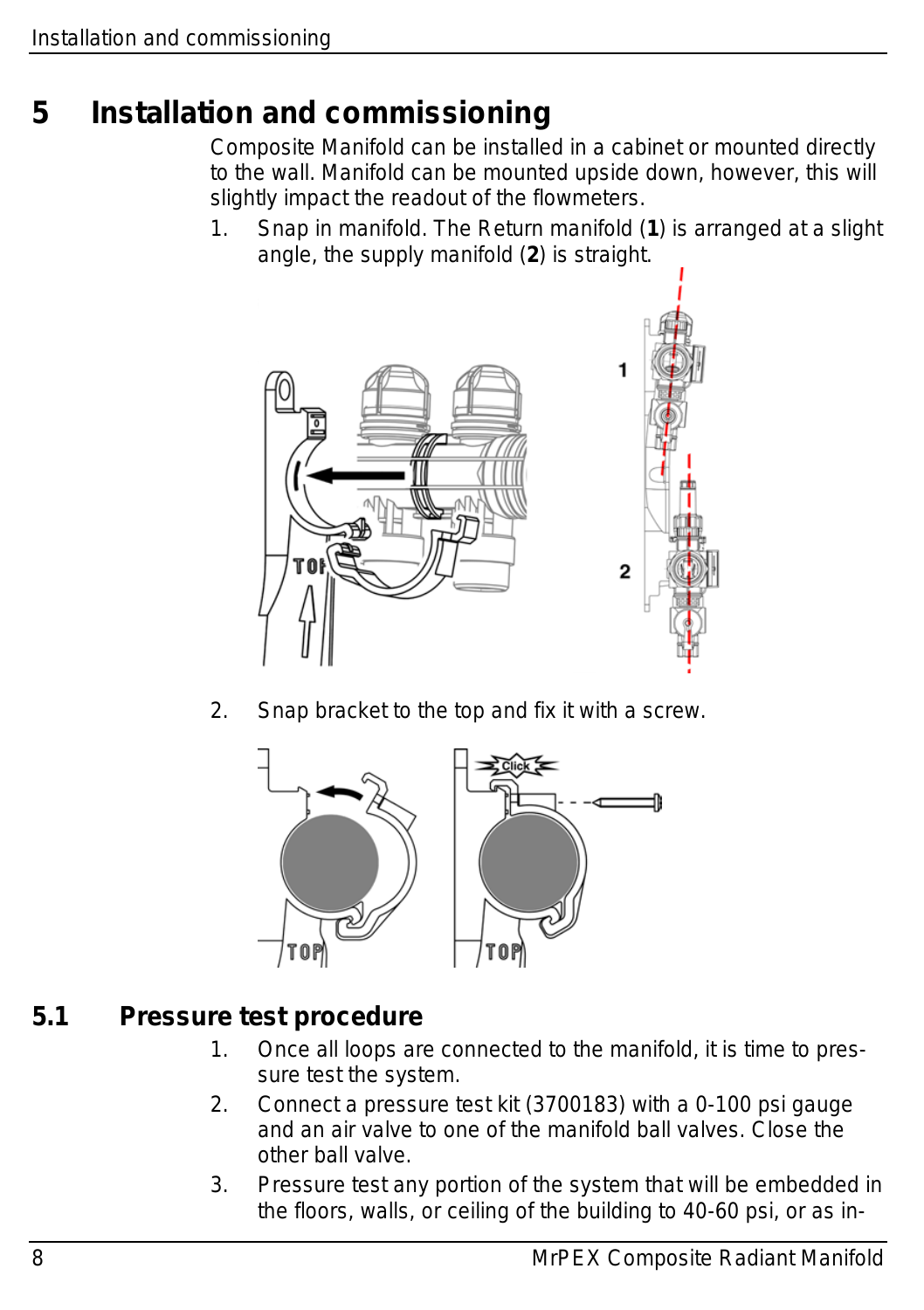## <span id="page-7-0"></span>**5 Installation and commissioning**

Composite Manifold can be installed in a cabinet or mounted directly to the wall. Manifold can be mounted upside down, however, this will slightly impact the readout of the flowmeters.

1. Snap in manifold. The Return manifold (**1**) is arranged at a slight angle, the supply manifold (**2**) is straight.



2. Snap bracket to the top and fix it with a screw.



#### <span id="page-7-1"></span>**5.1 Pressure test procedure**

- 1. Once all loops are connected to the manifold, it is time to pressure test the system.
- 2. Connect a pressure test kit (3700183) with a 0-100 psi gauge and an air valve to one of the manifold ball valves. Close the other ball valve.
- 3. Pressure test any portion of the system that will be embedded in the floors, walls, or ceiling of the building to 40-60 psi, or as in-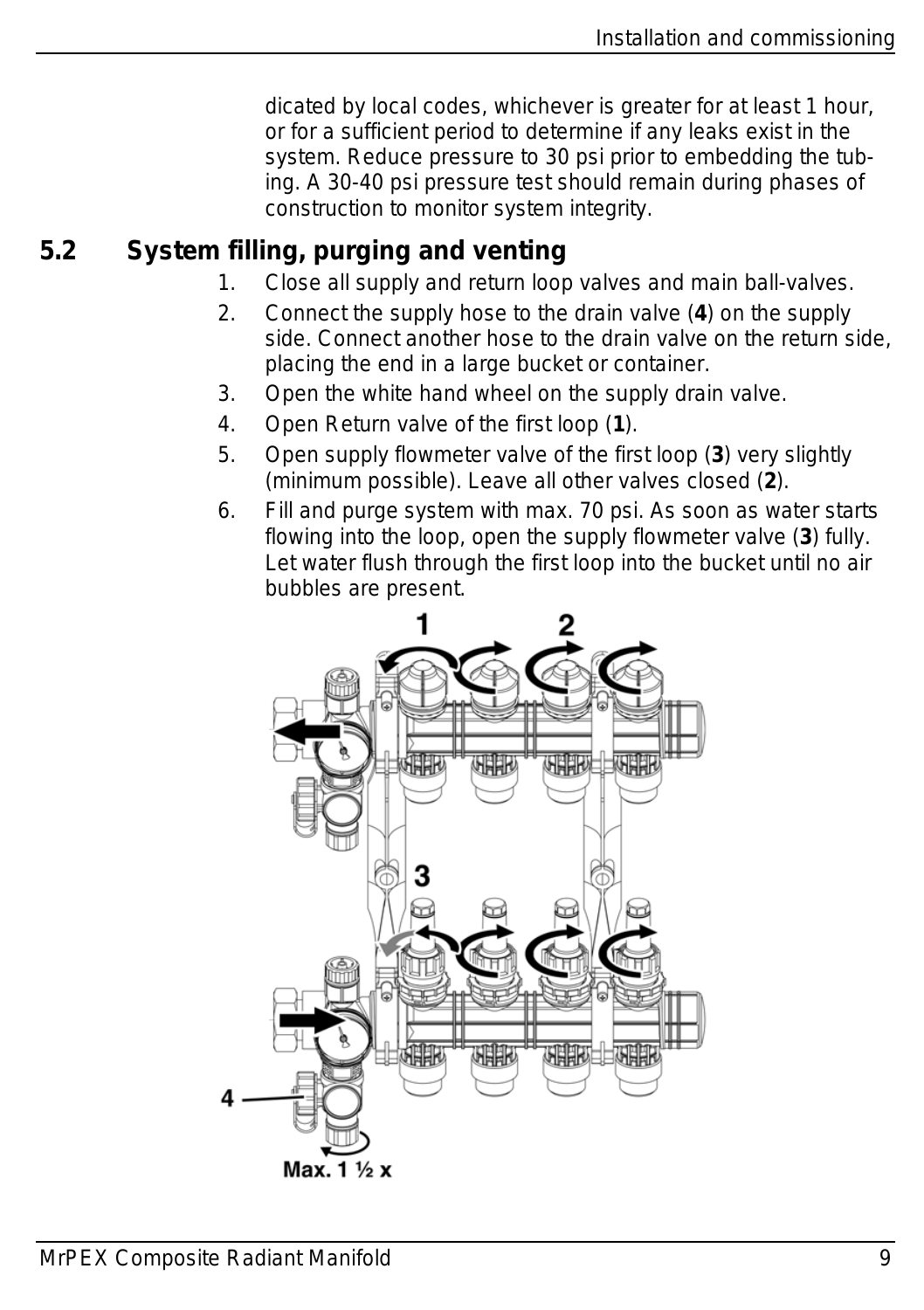dicated by local codes, whichever is greater for at least 1 hour, or for a sufficient period to determine if any leaks exist in the system. Reduce pressure to 30 psi prior to embedding the tubing. A 30-40 psi pressure test should remain during phases of construction to monitor system integrity.

### <span id="page-8-0"></span>**5.2 System filling, purging and venting**

- 1. Close all supply and return loop valves and main ball-valves.
- 2. Connect the supply hose to the drain valve (**4**) on the supply side. Connect another hose to the drain valve on the return side, placing the end in a large bucket or container.
- 3. Open the white hand wheel on the supply drain valve.
- 4. Open Return valve of the first loop (**1**).
- 5. Open supply flowmeter valve of the first loop (**3**) very slightly (minimum possible). Leave all other valves closed (**2**).
- 6. Fill and purge system with max. 70 psi. As soon as water starts flowing into the loop, open the supply flowmeter valve (**3**) fully. Let water flush through the first loop into the bucket until no air bubbles are present.

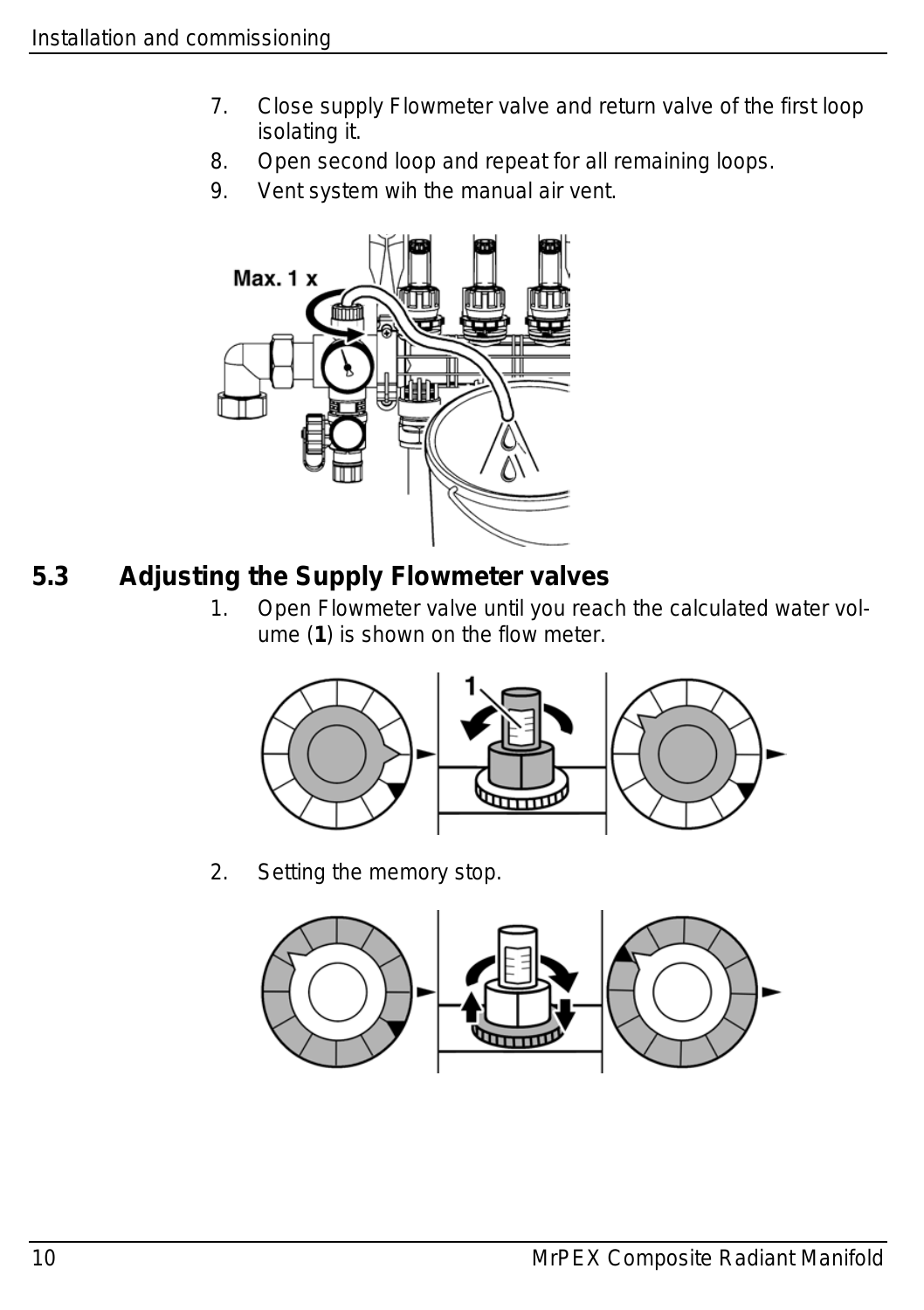- 7. Close supply Flowmeter valve and return valve of the first loop isolating it.
- 8. Open second loop and repeat for all remaining loops.
- 9. Vent system wih the manual air vent.



#### <span id="page-9-0"></span>**5.3 Adjusting the Supply Flowmeter valves**

1. Open Flowmeter valve until you reach the calculated water volume (**1**) is shown on the flow meter.



2. Setting the memory stop.

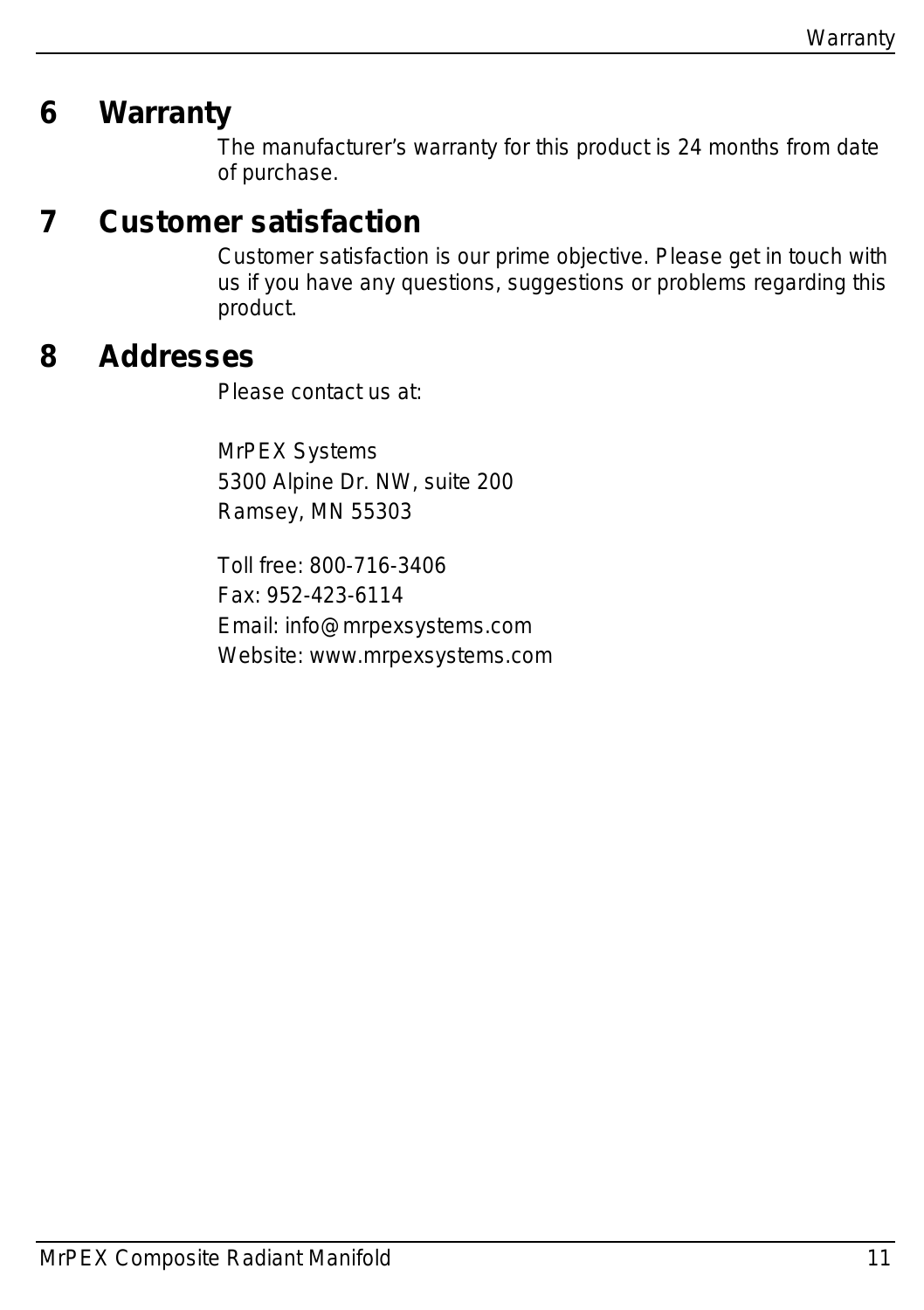## <span id="page-10-0"></span>**6 Warranty**

The manufacturer's warranty for this product is 24 months from date of purchase.

## <span id="page-10-1"></span>**7 Customer satisfaction**

Customer satisfaction is our prime objective. Please get in touch with us if you have any questions, suggestions or problems regarding this product.

#### <span id="page-10-2"></span>**8 Addresses**

Please contact us at:

MrPEX Systems 5300 Alpine Dr. NW, suite 200 Ramsey, MN 55303

Toll free: 800-716-3406 Fax: 952-423-6114 Email: info@mrpexsystems.com Website: www.mrpexsystems.com